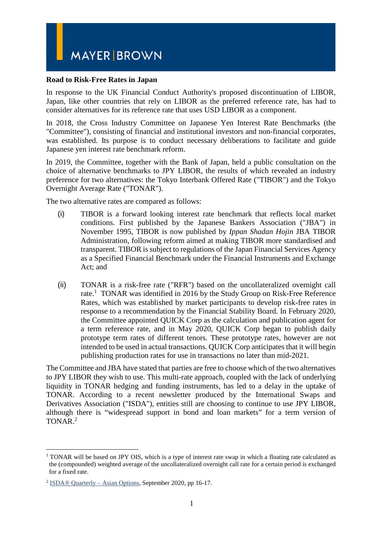# **MAYER BROWN**

#### **Road to Risk-Free Rates in Japan**

In response to the UK Financial Conduct Authority's proposed discontinuation of LIBOR, Japan, like other countries that rely on LIBOR as the preferred reference rate, has had to consider alternatives for its reference rate that uses USD LIBOR as a component.

In 2018, the Cross Industry Committee on Japanese Yen Interest Rate Benchmarks (the "Committee"), consisting of financial and institutional investors and non-financial corporates, was established. Its purpose is to conduct necessary deliberations to facilitate and guide Japanese yen interest rate benchmark reform.

In 2019, the Committee, together with the Bank of Japan, held a public consultation on the choice of alternative benchmarks to JPY LIBOR, the results of which revealed an industry preference for two alternatives: the Tokyo Interbank Offered Rate ("TIBOR") and the Tokyo Overnight Average Rate ("TONAR").

The two alternative rates are compared as follows:

- (i) TIBOR is a forward looking interest rate benchmark that reflects local market conditions. First published by the Japanese Bankers Association ("JBA") in November 1995, TIBOR is now published by *Ippan Shadan Hojin* JBA TIBOR Administration, following reform aimed at making TIBOR more standardised and transparent. TIBOR is subject to regulations of the Japan Financial Services Agency as a Specified Financial Benchmark under the Financial Instruments and Exchange Act; and
- (ii) TONAR is a risk-free rate ("RFR") based on the uncollateralized overnight call rate.<sup>1</sup> TONAR was identified in 2016 by the Study Group on Risk-Free Reference Rates, which was established by market participants to develop risk-free rates in response to a recommendation by the Financial Stability Board. In February 2020, the Committee appointed QUICK Corp as the calculation and publication agent for a term reference rate, and in May 2020, QUICK Corp began to publish daily prototype term rates of different tenors. These prototype rates, however are not intended to be used in actual transactions. QUICK Corp anticipates that it will begin publishing production rates for use in transactions no later than mid-2021.

The Committee and JBA have stated that parties are free to choose which of the two alternatives to JPY LIBOR they wish to use. This multi-rate approach, coupled with the lack of underlying liquidity in TONAR hedging and funding instruments, has led to a delay in the uptake of TONAR. According to a recent newsletter produced by the International Swaps and Derivatives Association ("ISDA"), entities still are choosing to continue to use JPY LIBOR, although there is "widespread support in bond and loan markets" for a term version of TONAR.<sup>2</sup>

1

<sup>&</sup>lt;sup>1</sup> TONAR will be based on JPY OIS, which is a type of interest rate swap in which a floating rate calculated as the (compounded) weighted average of the uncollateralized overnight call rate for a certain period is exchanged for a fixed rate.

<sup>&</sup>lt;sup>2</sup> ISDA<sup>®</sup> Quarterly – Asian Options, September 2020, pp 16-17.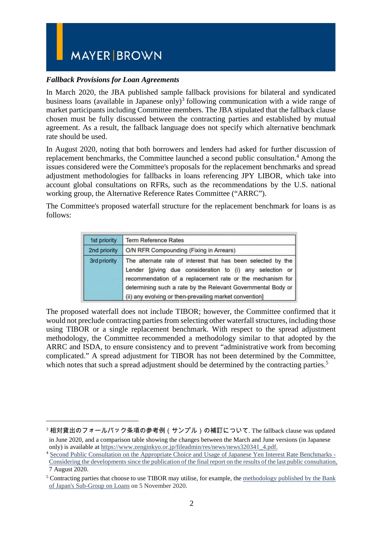## **MAYER BROWN**

### *Fallback Provisions for Loan Agreements*

<u>.</u>

In March 2020, the JBA published sample fallback provisions for bilateral and syndicated business loans (available in Japanese only)<sup>3</sup> following communication with a wide range of market participants including Committee members. The JBA stipulated that the fallback clause chosen must be fully discussed between the contracting parties and established by mutual agreement. As a result, the fallback language does not specify which alternative benchmark rate should be used.

In August 2020, noting that both borrowers and lenders had asked for further discussion of replacement benchmarks, the Committee launched a second public consultation.<sup>4</sup> Among the issues considered were the Committee's proposals for the replacement benchmarks and spread adjustment methodologies for fallbacks in loans referencing JPY LIBOR, which take into account global consultations on RFRs, such as the recommendations by the U.S. national working group, the Alternative Reference Rates Committee ("ARRC").

The Committee's proposed waterfall structure for the replacement benchmark for loans is as follows:

| 1st priority | <b>Term Reference Rates</b>                                                                                                                                                                                                                                                                                      |
|--------------|------------------------------------------------------------------------------------------------------------------------------------------------------------------------------------------------------------------------------------------------------------------------------------------------------------------|
| 2nd priority | O/N RFR Compounding (Fixing in Arrears)                                                                                                                                                                                                                                                                          |
| 3rd priority | The alternate rate of interest that has been selected by the<br>Lender [giving due consideration to (i) any selection or<br>recommendation of a replacement rate or the mechanism for<br>determining such a rate by the Relevant Governmental Body or<br>(ii) any evolving or then-prevailing market convention] |

The proposed waterfall does not include TIBOR; however, the Committee confirmed that it would not preclude contracting parties from selecting other waterfall structures, including those using TIBOR or a single replacement benchmark. With respect to the spread adjustment methodology, the Committee recommended a methodology similar to that adopted by the ARRC and ISDA, to ensure consistency and to prevent "administrative work from becoming complicated." A spread adjustment for TIBOR has not been determined by the Committee, which notes that such a spread adjustment should be determined by the contracting parties.<sup>5</sup>

 $^3$  相対貸出のフォールバック条項の参考例(サンプル)の補訂について. The fallback clause was updated in June 2020, and a comparison table showing the changes between the March and June versions (in Japanese only) is available a[t https://www.zenginkyo.or.jp/fileadmin/res/news/news320341\\_4.pdf.](https://www.zenginkyo.or.jp/fileadmin/res/news/news320341_4.pdf)

<sup>4</sup> [Second Public Consultation on the Appropriate Choice and Usage of Japanese Yen Interest Rate Benchmarks -](https://www.boj.or.jp/en/paym/market/jpy_cmte/cmt200807b.pdf)  [Considering the developments since the publication of the final report on the results of the last public consultation,](https://www.boj.or.jp/en/paym/market/jpy_cmte/cmt200807b.pdf) 7 August 2020.

<sup>&</sup>lt;sup>5</sup> Contracting parties that choose to use TIBOR may utilise, for example, the methodology published by the Bank [of Japan's Sub-Group on Loans](https://www.boj.or.jp/en/paym/market/jpy_cmte/cmt201130a.pdf) on 5 November 2020.